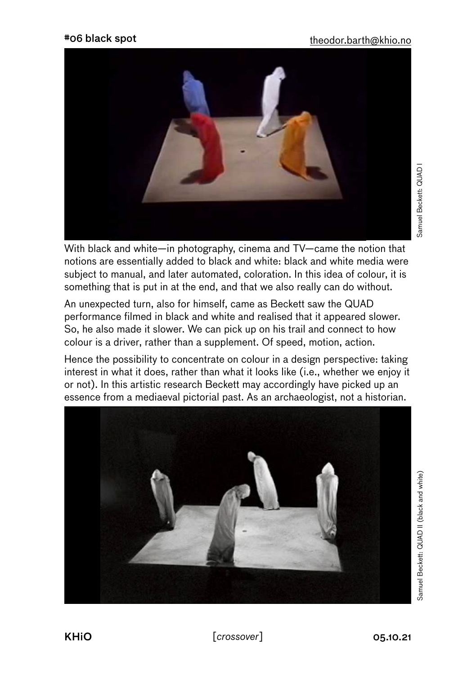

With black and white—in photography, cinema and TV—came the notion that notions are essentially added to black and white: black and white media were subject to manual, and later automated, coloration. In this idea of colour, it is something that is put in at the end, and that we also really can do without.

An unexpected turn, also for himself, came as Beckett saw the QUAD performance filmed in black and white and realised that it appeared slower. So, he also made it slower. We can pick up on his trail and connect to how colour is a driver, rather than a supplement. Of speed, motion, action.

Hence the possibility to concentrate on colour in a design perspective: taking interest in what it does, rather than what it looks like (i.e., whether we enjoy it or not). In this artistic research Beckett may accordingly have picked up an essence from a mediaeval pictorial past. As an archaeologist, not a historian.